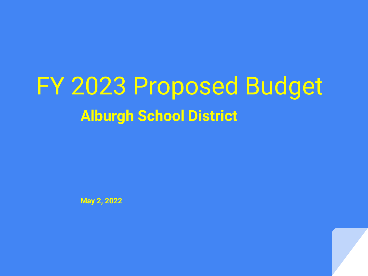FY 2023 Proposed Budget **Alburgh School District**

**May 2, 2022**

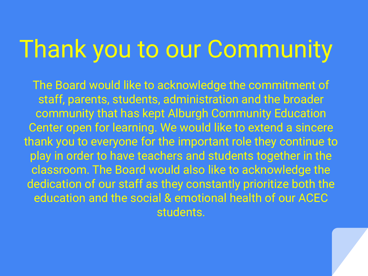## Thank you to our Community

The Board would like to acknowledge the commitment of staff, parents, students, administration and the broader community that has kept Alburgh Community Education Center open for learning. We would like to extend a sincere thank you to everyone for the important role they continue to play in order to have teachers and students together in the classroom. The Board would also like to acknowledge the dedication of our staff as they constantly prioritize both the education and the social & emotional health of our ACEC students.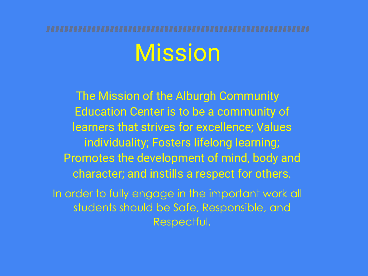# Mission

The Mission of the Alburgh Community Education Center is to be a community of learners that strives for excellence; Values individuality; Fosters lifelong learning; Promotes the development of mind, body and character; and instills a respect for others. In order to fully engage in the important work all students should be Safe, Responsible, and

Respectful.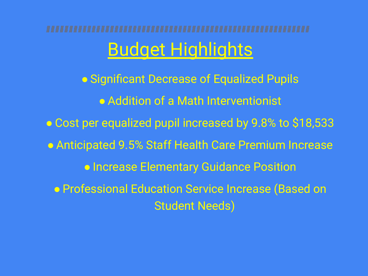# <u>Budget Highlights</u>

**• Significant Decrease of Equalized Pupils** ● Addition of a Math Interventionist ● Cost per equalized pupil increased by 9.8% to \$18,533 **• Anticipated 9.5% Staff Health Care Premium Increase** ● Increase Elementary Guidance Position ● Professional Education Service Increase (Based on Student Needs)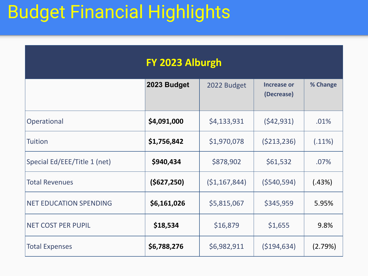### Budget Financial Highlights

| FY 2023 Alburgh               |               |                |                                  |           |
|-------------------------------|---------------|----------------|----------------------------------|-----------|
|                               | 2023 Budget   | 2022 Budget    | <b>Increase or</b><br>(Decrease) | % Change  |
| Operational                   | \$4,091,000   | \$4,133,931    | (542, 931)                       | .01%      |
| <b>Tuition</b>                | \$1,756,842   | \$1,970,078    | (5213, 236)                      | $(.11\%)$ |
| Special Ed/EEE/Title 1 (net)  | \$940,434     | \$878,902      | \$61,532                         | .07%      |
| <b>Total Revenues</b>         | ( \$627, 250) | (51, 167, 844) | (5540, 594)                      | (.43%)    |
| <b>NET EDUCATION SPENDING</b> | \$6,161,026   | \$5,815,067    | \$345,959                        | 5.95%     |
| <b>NET COST PER PUPIL</b>     | \$18,534      | \$16,879       | \$1,655                          | 9.8%      |
| <b>Total Expenses</b>         | \$6,788,276   | \$6,982,911    | ( \$194, 634)                    | (2.79%)   |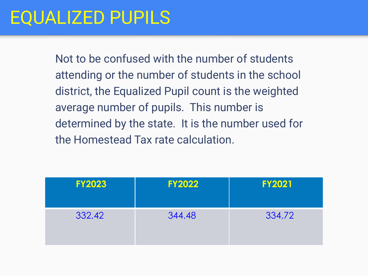### EQUALIZED PUPILS

Not to be confused with the number of students attending or the number of students in the school district, the Equalized Pupil count is the weighted average number of pupils. This number is determined by the state. It is the number used for the Homestead Tax rate calculation.

| <b>FY2023</b> | <b>FY2022</b> | <b>FY2021</b> |
|---------------|---------------|---------------|
| 332.42        | 344.48        | 334.72        |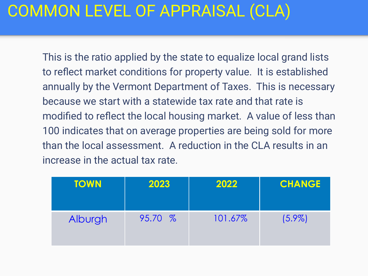### COMMON LEVEL OF APPRAISAL (CLA)

This is the ratio applied by the state to equalize local grand lists to reflect market conditions for property value. It is established annually by the Vermont Department of Taxes. This is necessary because we start with a statewide tax rate and that rate is modified to reflect the local housing market. A value of less than 100 indicates that on average properties are being sold for more than the local assessment. A reduction in the CLA results in an increase in the actual tax rate.

| <b>TOWN</b> | 2023    | 2022    | <b>CHANGE</b> |
|-------------|---------|---------|---------------|
| Alburgh     | 95.70 % | 101.67% | $(5.9\%)$     |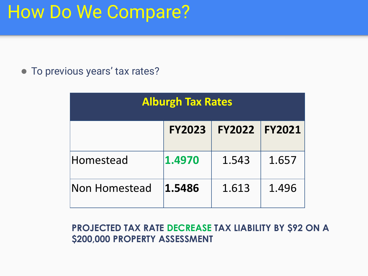### How Do We Compare?

● To previous years' tax rates?

| <b>Alburgh Tax Rates</b> |               |               |               |
|--------------------------|---------------|---------------|---------------|
|                          | <b>FY2023</b> | <b>FY2022</b> | <b>FY2021</b> |
| Homestead                | 1.4970        | 1.543         | 1.657         |
| Non Homestead            | 1.5486        | 1.613         | 1.496         |

**PROJECTED TAX RATE DECREASE TAX LIABILITY BY \$92 ON A \$200,000 PROPERTY ASSESSMENT**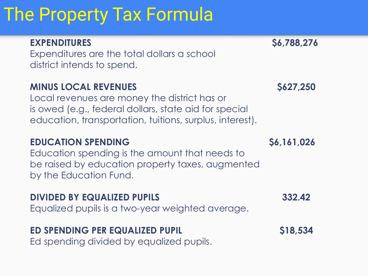### The Property Tax Formula

| <b>EXPENDITURES</b><br>Expenditures are the total dollars a school<br>district intends to spend.                                                                                                 | S6,788,276  |
|--------------------------------------------------------------------------------------------------------------------------------------------------------------------------------------------------|-------------|
| <b>MINUS LOCAL REVENUES</b><br>Local revenues are money the district has or<br>is owed (e.g., federal dollars, state aid for special<br>education, transportation, tuitions, surplus, interest). | \$627,250   |
| <b>EDUCATION SPENDING</b><br>Education spending is the amount that needs to<br>be raised by education property taxes, augmented<br>by the Education Fund.                                        | \$6,161,026 |
| <b>DIVIDED BY EQUALIZED PUPILS</b><br>Equalized pupils is a two-year weighted average.                                                                                                           | 332.42      |
| ED SPENDING PER EQUALIZED PUPIL                                                                                                                                                                  | S18,534     |

Ed spending divided by equalized pupils.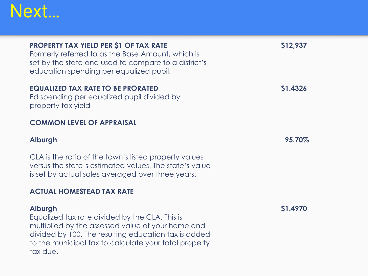

#### **PROPERTY TAX YIELD PER \$1 OF TAX RATE \$12,937**

Formerly referred to as the Base Amount, which is set by the state and used to compare to a district's education spending per equalized pupil.

#### **EQUALIZED TAX RATE TO BE PRORATED \$1.4326**

Ed spending per equalized pupil divided by property tax yield

#### **COMMON LEVEL OF APPRAISAL**

#### **Alburgh 95.70%**

CLA is the ratio of the town's listed property values versus the state's estimated values. The state's value is set by actual sales averaged over three years.

#### **ACTUAL HOMESTEAD TAX RATE**

#### **Alburgh \$1.4970**

Equalized tax rate divided by the CLA. This is multiplied by the assessed value of your home and divided by 100. The resulting education tax is added to the municipal tax to calculate your total property tax due.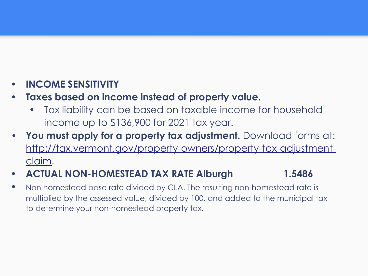#### **• INCOME SENSITIVITY**

- **• Taxes based on income instead of property value.** 
	- Tax liability can be based on taxable income for household income up to \$136,900 for 2021 tax year.
- **• You must apply for a property tax adjustment.** Download forms at: http://tax.vermont.gov/property-owners/property-tax-adjustmentclaim.
- **• ACTUAL NON-HOMESTEAD TAX RATE Alburgh 1.5486**
- Non homestead base rate divided by CLA. The resulting non-homestead rate is multiplied by the assessed value, divided by 100, and added to the municipal tax to determine your non-homestead property tax.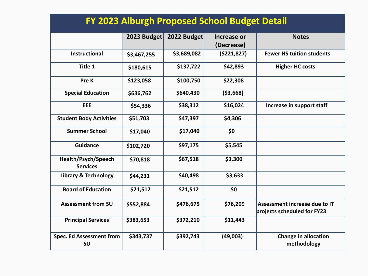| FY 2023 Alburgh Proposed School Budget Detail |             |             |               |                                                              |
|-----------------------------------------------|-------------|-------------|---------------|--------------------------------------------------------------|
|                                               | 2023 Budget | 2022 Budget | Increase or   | <b>Notes</b>                                                 |
|                                               |             |             | (Decrease)    |                                                              |
| <b>Instructional</b>                          | \$3,467,255 | \$3,689,082 | ( \$221, 827) | <b>Fewer HS tuition students</b>                             |
| Title 1                                       | \$180,615   | \$137,722   | \$42,893      | <b>Higher HC costs</b>                                       |
| Pre K                                         | \$123,058   | \$100,750   | \$22,308      |                                                              |
| <b>Special Education</b>                      | \$636,762   | \$640,430   | ( \$3,668)    |                                                              |
| EEE                                           | \$54,336    | \$38,312    | \$16,024      | Increase in support staff                                    |
| <b>Student Body Activities</b>                | \$51,703    | \$47,397    | \$4,306       |                                                              |
| <b>Summer School</b>                          | \$17,040    | \$17,040    | \$0           |                                                              |
| <b>Guidance</b>                               | \$102,720   | \$97,175    | \$5,545       |                                                              |
| Health/Psych/Speech<br><b>Services</b>        | \$70,818    | \$67,518    | \$3,300       |                                                              |
| <b>Library &amp; Technology</b>               | \$44,231    | \$40,498    | \$3,633       |                                                              |
| <b>Board of Education</b>                     | \$21,512    | \$21,512    | \$0           |                                                              |
| <b>Assessment from SU</b>                     | \$552,884   | \$476,675   | \$76,209      | Assessment increase due to IT<br>projects scheduled for FY23 |
| <b>Principal Services</b>                     | \$383,653   | \$372,210   | \$11,443      |                                                              |
| <b>Spec. Ed Assessment from</b><br><b>SU</b>  | \$343,737   | \$392,743   | (49,003)      | <b>Change in allocation</b><br>methodology                   |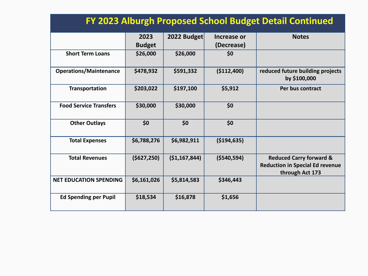| FY 2023 Alburgh Proposed School Budget Detail Continued |                       |                |                           |                                                                                                 |
|---------------------------------------------------------|-----------------------|----------------|---------------------------|-------------------------------------------------------------------------------------------------|
|                                                         | 2023<br><b>Budget</b> | 2022 Budget    | Increase or<br>(Decrease) | <b>Notes</b>                                                                                    |
| <b>Short Term Loans</b>                                 | \$26,000              | \$26,000       | \$0                       |                                                                                                 |
| <b>Operations/Maintenance</b>                           | \$478,932             | \$591,332      | (\$112,400)               | reduced future building projects<br>by \$100,000                                                |
| Transportation                                          | \$203,022             | \$197,100      | \$5,912                   | Per bus contract                                                                                |
| <b>Food Service Transfers</b>                           | \$30,000              | \$30,000       | \$0                       |                                                                                                 |
| <b>Other Outlays</b>                                    | \$0                   | \$0            | \$0                       |                                                                                                 |
| <b>Total Expenses</b>                                   | \$6,788,276           | \$6,982,911    | ( \$194, 635)             |                                                                                                 |
| <b>Total Revenues</b>                                   | (5627, 250)           | ( \$1,167,844) | ( \$540, 594)             | <b>Reduced Carry forward &amp;</b><br><b>Reduction in Special Ed revenue</b><br>through Act 173 |
| <b>NET EDUCATION SPENDING</b>                           | \$6,161,026           | \$5,814,583    | \$346,443                 |                                                                                                 |
| <b>Ed Spending per Pupil</b>                            | \$18,534              | \$16,878       | \$1,656                   |                                                                                                 |